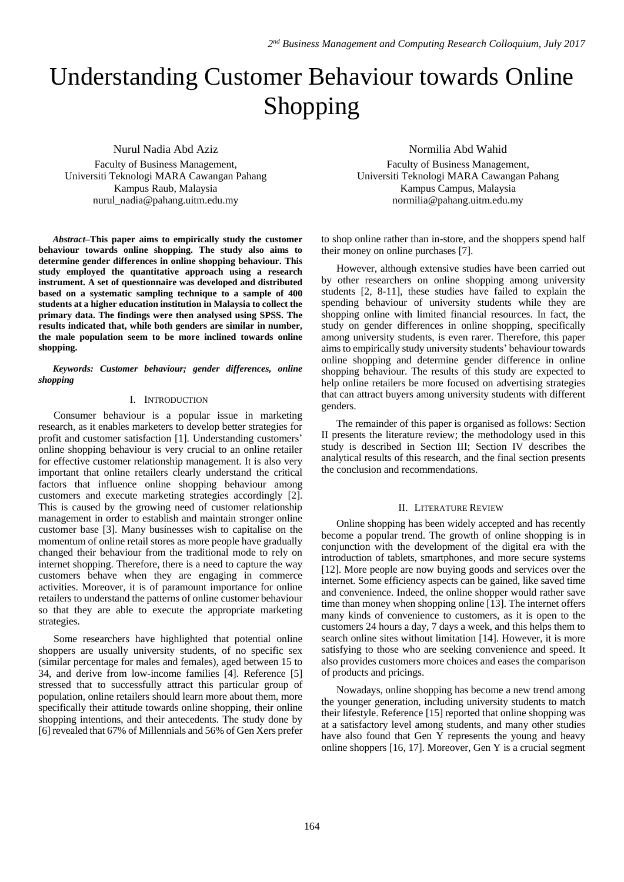# Understanding Customer Behaviour towards Online Shopping

Nurul Nadia Abd Aziz Faculty of Business Management, Universiti Teknologi MARA Cawangan Pahang Kampus Raub, Malaysia [nurul\\_nadia@pahang.uitm.edu.my](mailto:nurul_nadia@pahang.uitm.edu.my)

*Abstract–***This paper aims to empirically study the customer behaviour towards online shopping. The study also aims to determine gender differences in online shopping behaviour. This study employed the quantitative approach using a research instrument. A set of questionnaire was developed and distributed based on a systematic sampling technique to a sample of 400 students at a higher education institution in Malaysia to collect the primary data. The findings were then analysed using SPSS. The results indicated that, while both genders are similar in number, the male population seem to be more inclined towards online shopping.**

*Keywords: Customer behaviour; gender differences, online shopping*

## I. INTRODUCTION

Consumer behaviour is a popular issue in marketing research, as it enables marketers to develop better strategies for profit and customer satisfaction [1]. Understanding customers' online shopping behaviour is very crucial to an online retailer for effective customer relationship management. It is also very important that online retailers clearly understand the critical factors that influence online shopping behaviour among customers and execute marketing strategies accordingly [2]. This is caused by the growing need of customer relationship management in order to establish and maintain stronger online customer base [3]. Many businesses wish to capitalise on the momentum of online retail stores as more people have gradually changed their behaviour from the traditional mode to rely on internet shopping. Therefore, there is a need to capture the way customers behave when they are engaging in commerce activities. Moreover, it is of paramount importance for online retailers to understand the patterns of online customer behaviour so that they are able to execute the appropriate marketing strategies.

Some researchers have highlighted that potential online shoppers are usually university students, of no specific sex (similar percentage for males and females), aged between 15 to 34, and derive from low-income families [4]. Reference [5] stressed that to successfully attract this particular group of population, online retailers should learn more about them, more specifically their attitude towards online shopping, their online shopping intentions, and their antecedents. The study done by [6] revealed that 67% of Millennials and 56% of Gen Xers prefer Normilia Abd Wahid

Faculty of Business Management, Universiti Teknologi MARA Cawangan Pahang Kampus Campus, Malaysia normilia@pahang.uitm.edu.my

to shop online rather than in-store, and the shoppers spend half their money on online purchases [7].

However, although extensive studies have been carried out by other researchers on online shopping among university students [2, 8-11], these studies have failed to explain the spending behaviour of university students while they are shopping online with limited financial resources. In fact, the study on gender differences in online shopping, specifically among university students, is even rarer. Therefore, this paper aimsto empirically study university students' behaviour towards online shopping and determine gender difference in online shopping behaviour. The results of this study are expected to help online retailers be more focused on advertising strategies that can attract buyers among university students with different genders.

The remainder of this paper is organised as follows: Section II presents the literature review; the methodology used in this study is described in Section III; Section IV describes the analytical results of this research, and the final section presents the conclusion and recommendations.

## II. LITERATURE REVIEW

Online shopping has been widely accepted and has recently become a popular trend. The growth of online shopping is in conjunction with the development of the digital era with the introduction of tablets, smartphones, and more secure systems [12]. More people are now buying goods and services over the internet. Some efficiency aspects can be gained, like saved time and convenience. Indeed, the online shopper would rather save time than money when shopping online [13]. The internet offers many kinds of convenience to customers, as it is open to the customers 24 hours a day, 7 days a week, and this helps them to search online sites without limitation [14]. However, it is more satisfying to those who are seeking convenience and speed. It also provides customers more choices and eases the comparison of products and pricings.

Nowadays, online shopping has become a new trend among the younger generation, including university students to match their lifestyle. Reference [15] reported that online shopping was at a satisfactory level among students, and many other studies have also found that Gen Y represents the young and heavy online shoppers [16, 17]. Moreover, Gen Y is a crucial segment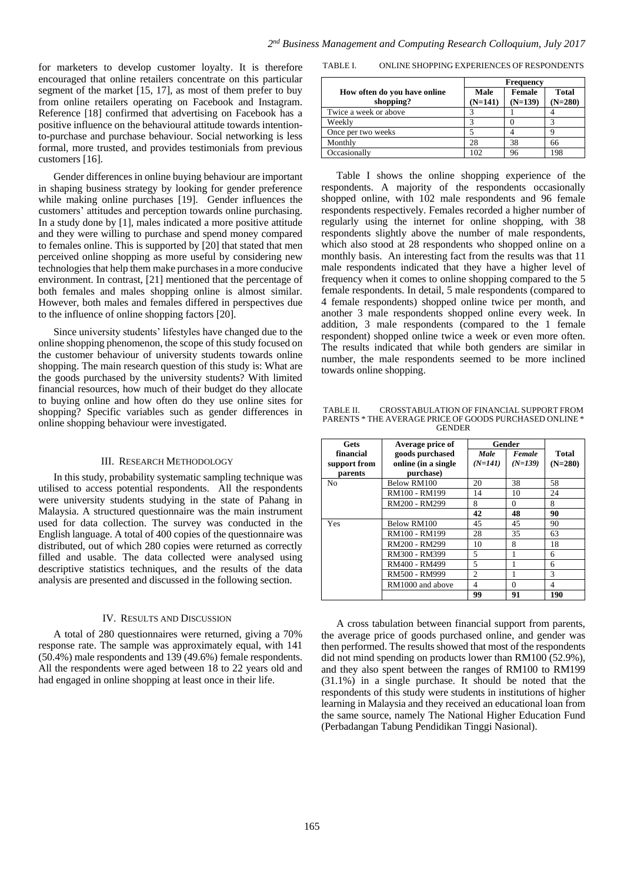for marketers to develop customer loyalty. It is therefore encouraged that online retailers concentrate on this particular segment of the market [15, 17], as most of them prefer to buy from online retailers operating on Facebook and Instagram. Reference [18] confirmed that advertising on Facebook has a positive influence on the behavioural attitude towards intentionto-purchase and purchase behaviour. Social networking is less formal, more trusted, and provides testimonials from previous customers [16].

Gender differences in online buying behaviour are important in shaping business strategy by looking for gender preference while making online purchases [19]. Gender influences the customers' attitudes and perception towards online purchasing. In a study done by [1], males indicated a more positive attitude and they were willing to purchase and spend money compared to females online. This is supported by [20] that stated that men perceived online shopping as more useful by considering new technologies that help them make purchasesin a more conducive environment. In contrast, [21] mentioned that the percentage of both females and males shopping online is almost similar. However, both males and females differed in perspectives due to the influence of online shopping factors [20].

Since university students' lifestyles have changed due to the online shopping phenomenon, the scope of this study focused on the customer behaviour of university students towards online shopping. The main research question of this study is: What are the goods purchased by the university students? With limited financial resources, how much of their budget do they allocate to buying online and how often do they use online sites for shopping? Specific variables such as gender differences in online shopping behaviour were investigated.

## III. RESEARCH METHODOLOGY

In this study, probability systematic sampling technique was utilised to access potential respondents. All the respondents were university students studying in the state of Pahang in Malaysia. A structured questionnaire was the main instrument used for data collection. The survey was conducted in the English language. A total of 400 copies of the questionnaire was distributed, out of which 280 copies were returned as correctly filled and usable. The data collected were analysed using descriptive statistics techniques, and the results of the data analysis are presented and discussed in the following section.

## IV. RESULTS AND DISCUSSION

A total of 280 questionnaires were returned, giving a 70% response rate. The sample was approximately equal, with 141 (50.4%) male respondents and 139 (49.6%) female respondents. All the respondents were aged between 18 to 22 years old and had engaged in online shopping at least once in their life.

TABLE I. ONLINE SHOPPING EXPERIENCES OF RESPONDENTS

|                                           | <b>Frequency</b>  |                     |                           |
|-------------------------------------------|-------------------|---------------------|---------------------------|
| How often do you have online<br>shopping? | Male<br>$(N=141)$ | Female<br>$(N=139)$ | <b>Total</b><br>$(N=280)$ |
| Twice a week or above                     |                   |                     |                           |
| Weekly                                    |                   |                     |                           |
| Once per two weeks                        |                   |                     |                           |
| Monthly                                   | 28                | 38                  | 66                        |
| Occasionally                              | 102               | 96                  | 198                       |

Table I shows the online shopping experience of the respondents. A majority of the respondents occasionally shopped online, with 102 male respondents and 96 female respondents respectively. Females recorded a higher number of regularly using the internet for online shopping, with 38 respondents slightly above the number of male respondents, which also stood at 28 respondents who shopped online on a monthly basis. An interesting fact from the results was that 11 male respondents indicated that they have a higher level of frequency when it comes to online shopping compared to the 5 female respondents. In detail, 5 male respondents (compared to 4 female respondents) shopped online twice per month, and another 3 male respondents shopped online every week. In addition, 3 male respondents (compared to the 1 female respondent) shopped online twice a week or even more often. The results indicated that while both genders are similar in number, the male respondents seemed to be more inclined towards online shopping.

TABLE II. CROSSTABULATION OF FINANCIAL SUPPORT FROM PARENTS \* THE AVERAGE PRICE OF GOODS PURCHASED ONLINE \* **GENDER** 

| Gets           | Average price of    | Gender         |           |           |
|----------------|---------------------|----------------|-----------|-----------|
| financial      | goods purchased     | Male           | Female    | Total     |
| support from   | online (in a single | $(N=141)$      | $(N=139)$ | $(N=280)$ |
| parents        | purchase)           |                |           |           |
| N <sub>0</sub> | Below RM100         | 20             | 38        | 58        |
|                | RM100 - RM199       | 14             | 10        | 24        |
|                | RM200 - RM299       | 8              | $\Omega$  | 8         |
|                |                     | 42             | 48        | 90        |
| Yes            | Below RM100         | 45             | 45        | 90        |
|                | RM100 - RM199       | 28             | 35        | 63        |
|                | RM200 - RM299       | 10             | 8         | 18        |
|                | RM300 - RM399       | 5              | 1         | 6         |
|                | RM400 - RM499       | 5              |           | 6         |
|                | RM500 - RM999       | $\overline{c}$ |           | 3         |
|                | RM1000 and above    | 4              | $\Omega$  | 4         |
|                |                     | 99             | 91        | 190       |

A cross tabulation between financial support from parents, the average price of goods purchased online, and gender was then performed. The results showed that most of the respondents did not mind spending on products lower than RM100 (52.9%), and they also spent between the ranges of RM100 to RM199 (31.1%) in a single purchase. It should be noted that the respondents of this study were students in institutions of higher learning in Malaysia and they received an educational loan from the same source, namely The National Higher Education Fund (Perbadangan Tabung Pendidikan Tinggi Nasional).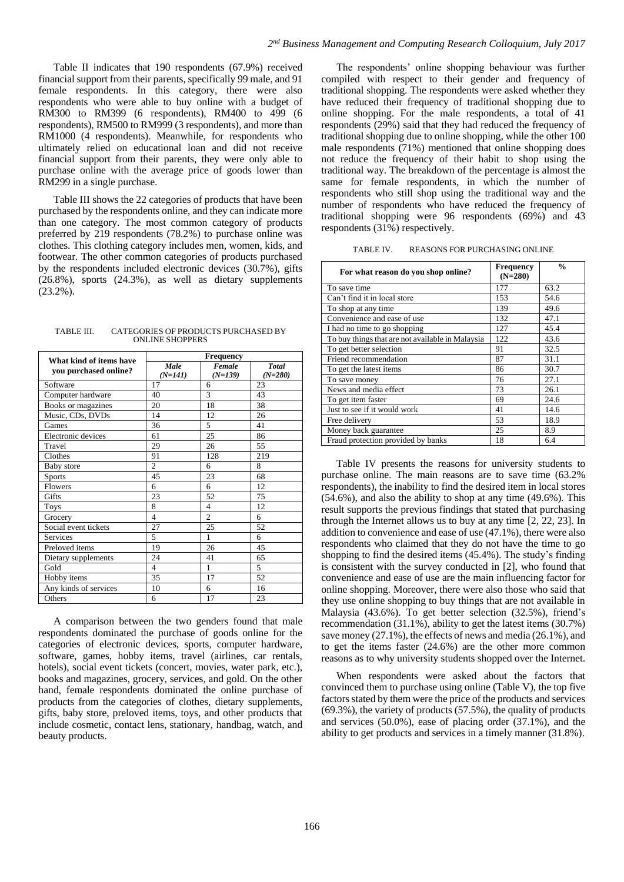Table II indicates that 190 respondents (67.9%) received financial support from their parents, specifically 99 male, and 91 female respondents. In this category, there were also respondents who were able to buy online with a budget of RM300 to RM399 (6 respondents), RM400 to 499 (6 respondents), RM500 to RM999 (3 respondents), and more than RM1000 (4 respondents). Meanwhile, for respondents who ultimately relied on educational loan and did not receive financial support from their parents, they were only able to purchase online with the average price of goods lower than RM299 in a single purchase.

Table III shows the 22 categories of products that have been purchased by the respondents online, and they can indicate more than one category. The most common category of products preferred by 219 respondents (78.2%) to purchase online was clothes. This clothing category includes men, women, kids, and footwear. The other common categories of products purchased by the respondents included electronic devices (30.7%), gifts (26.8%), sports (24.3%), as well as dietary supplements (23.2%).

| TABLE III. | CATEGORIES OF PRODUCTS PURCHASED BY |
|------------|-------------------------------------|
|            | <b>ONLINE SHOPPERS</b>              |

| What kind of items have | <b>Frequency</b> |                |              |  |
|-------------------------|------------------|----------------|--------------|--|
| you purchased online?   | Male             | Female         | <b>Total</b> |  |
|                         | $(N=141)$        | $(N=139)$      | $(N=280)$    |  |
| Software                | 17               | 6              | 23           |  |
| Computer hardware       | 40               | 3              | 43           |  |
| Books or magazines      | 20               | 18             | 38           |  |
| Music, CDs, DVDs        | 14               | 12             | 26           |  |
| Games                   | 36               | 5              | 41           |  |
| Electronic devices      | 61               | 25             | 86           |  |
| Travel                  | 29               | 26             | 55           |  |
| Clothes                 | 91               | 128            | 219          |  |
| <b>Baby</b> store       | $\overline{c}$   | 6              | 8            |  |
| <b>Sports</b>           | 45               | 23             | 68           |  |
| <b>Flowers</b>          | 6                | 6              | 12           |  |
| Gifts                   | 23               | 52             | 75           |  |
| <b>Toys</b>             | 8                | 4              | 12           |  |
| Grocery                 | 4                | $\overline{c}$ | 6            |  |
| Social event tickets    | 27               | 25             | 52           |  |
| Services                | 5                | 1              | 6            |  |
| Preloved items          | 19               | 26             | 45           |  |
| Dietary supplements     | 24               | 41             | 65           |  |
| Gold                    | $\overline{4}$   | 1              | 5            |  |
| Hobby items             | 35               | 17             | 52           |  |
| Any kinds of services   | 10               | 6              | 16           |  |
| Others                  | 6                | 17             | 23           |  |

A comparison between the two genders found that male respondents dominated the purchase of goods online for the categories of electronic devices, sports, computer hardware, software, games, hobby items, travel (airlines, car rentals, hotels), social event tickets (concert, movies, water park, etc.), books and magazines, grocery, services, and gold. On the other hand, female respondents dominated the online purchase of products from the categories of clothes, dietary supplements, gifts, baby store, preloved items, toys, and other products that include cosmetic, contact lens, stationary, handbag, watch, and beauty products.

The respondents' online shopping behaviour was further compiled with respect to their gender and frequency of traditional shopping. The respondents were asked whether they have reduced their frequency of traditional shopping due to online shopping. For the male respondents, a total of 41 respondents (29%) said that they had reduced the frequency of traditional shopping due to online shopping, while the other 100 male respondents (71%) mentioned that online shopping does not reduce the frequency of their habit to shop using the traditional way. The breakdown of the percentage is almost the same for female respondents, in which the number of respondents who still shop using the traditional way and the number of respondents who have reduced the frequency of traditional shopping were 96 respondents (69%) and 43 respondents (31%) respectively.

TABLE IV. REASONS FOR PURCHASING ONLINE

| For what reason do you shop online?              | <b>Frequency</b><br>$(N=280)$ | $\frac{0}{0}$ |
|--------------------------------------------------|-------------------------------|---------------|
| To save time                                     | 177                           | 63.2          |
| Can't find it in local store                     | 153                           | 54.6          |
| To shop at any time.                             | 139                           | 49.6          |
| Convenience and ease of use                      | 132                           | 47.1          |
| I had no time to go shopping                     | 127                           | 45.4          |
| To buy things that are not available in Malaysia | 122                           | 43.6          |
| To get better selection                          | 91                            | 32.5          |
| Friend recommendation                            | 87                            | 31.1          |
| To get the latest items                          | 86                            | 30.7          |
| To save money                                    | 76                            | 27.1          |
| News and media effect                            | 73                            | 26.1          |
| To get item faster                               | 69                            | 24.6          |
| Just to see if it would work                     | 41                            | 14.6          |
| Free delivery                                    | 53                            | 18.9          |
| Money back guarantee                             | 25                            | 8.9           |
| Fraud protection provided by banks               | 18                            | 6.4           |

Table IV presents the reasons for university students to purchase online. The main reasons are to save time (63.2% respondents), the inability to find the desired item in local stores (54.6%), and also the ability to shop at any time (49.6%). This result supports the previous findings that stated that purchasing through the Internet allows us to buy at any time [2, 22, 23]. In addition to convenience and ease of use (47.1%), there were also respondents who claimed that they do not have the time to go shopping to find the desired items (45.4%). The study's finding is consistent with the survey conducted in [2], who found that convenience and ease of use are the main influencing factor for online shopping. Moreover, there were also those who said that they use online shopping to buy things that are not available in Malaysia (43.6%). To get better selection (32.5%), friend's recommendation (31.1%), ability to get the latest items (30.7%) save money (27.1%), the effects of news and media (26.1%), and to get the items faster (24.6%) are the other more common reasons as to why university students shopped over the Internet.

When respondents were asked about the factors that convinced them to purchase using online (Table V), the top five factors stated by them were the price of the products and services (69.3%), the variety of products (57.5%), the quality of products and services (50.0%), ease of placing order (37.1%), and the ability to get products and services in a timely manner (31.8%).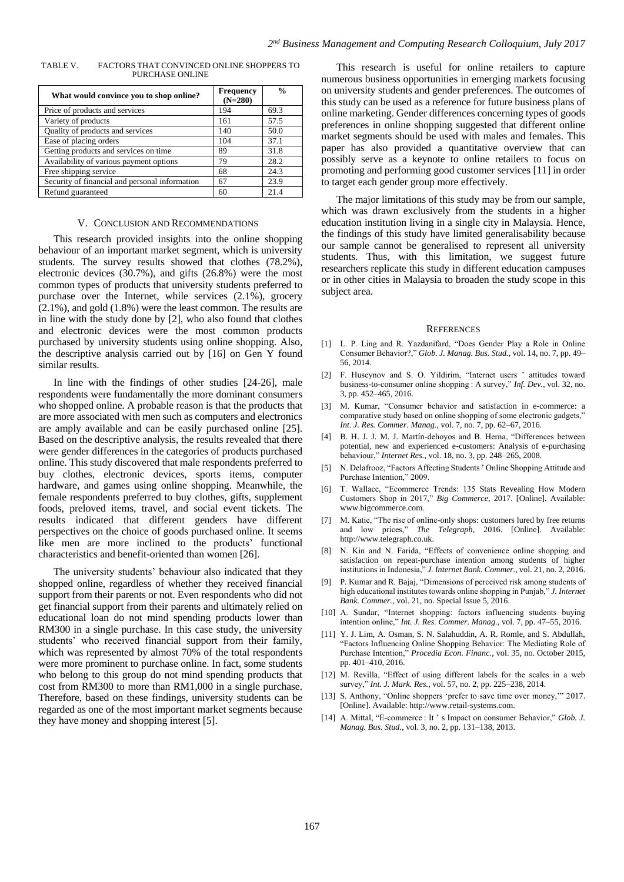| PURCHASE ONLINE                         |                        |               |
|-----------------------------------------|------------------------|---------------|
| What would convince you to shop online? | Frequency<br>$(N=280)$ | $\frac{6}{9}$ |

TABLE V. FACTORS THAT CONVINCED ONLINE SHOPPERS TO

| What would convince you to shop online?        | $(N=280)$ |      |
|------------------------------------------------|-----------|------|
| Price of products and services                 | 194       | 69.3 |
| Variety of products                            | 161       | 57.5 |
| Quality of products and services               | 140       | 50.0 |
| Ease of placing orders                         | 104       | 37.1 |
| Getting products and services on time          | 89        | 31.8 |
| Availability of various payment options        | 79        | 28.2 |
| Free shipping service                          | 68        | 24.3 |
| Security of financial and personal information | 67        | 23.9 |
| Refund guaranteed                              | 60        | 21.4 |

#### V. CONCLUSION AND RECOMMENDATIONS

This research provided insights into the online shopping behaviour of an important market segment, which is university students. The survey results showed that clothes (78.2%), electronic devices (30.7%), and gifts (26.8%) were the most common types of products that university students preferred to purchase over the Internet, while services (2.1%), grocery (2.1%), and gold (1.8%) were the least common. The results are in line with the study done by [2], who also found that clothes and electronic devices were the most common products purchased by university students using online shopping. Also, the descriptive analysis carried out by [16] on Gen Y found similar results.

In line with the findings of other studies [24-26], male respondents were fundamentally the more dominant consumers who shopped online. A probable reason is that the products that are more associated with men such as computers and electronics are amply available and can be easily purchased online [25]. Based on the descriptive analysis, the results revealed that there were gender differences in the categories of products purchased online. This study discovered that male respondents preferred to buy clothes, electronic devices, sports items, computer hardware, and games using online shopping. Meanwhile, the female respondents preferred to buy clothes, gifts, supplement foods, preloved items, travel, and social event tickets. The results indicated that different genders have different perspectives on the choice of goods purchased online. It seems like men are more inclined to the products' functional characteristics and benefit-oriented than women [26].

The university students' behaviour also indicated that they shopped online, regardless of whether they received financial support from their parents or not. Even respondents who did not get financial support from their parents and ultimately relied on educational loan do not mind spending products lower than RM300 in a single purchase. In this case study, the university students' who received financial support from their family, which was represented by almost 70% of the total respondents were more prominent to purchase online. In fact, some students who belong to this group do not mind spending products that cost from RM300 to more than RM1,000 in a single purchase. Therefore, based on these findings, university students can be regarded as one of the most important market segments because they have money and shopping interest [5].

This research is useful for online retailers to capture numerous business opportunities in emerging markets focusing on university students and gender preferences. The outcomes of this study can be used as a reference for future business plans of online marketing. Gender differences concerning types of goods preferences in online shopping suggested that different online market segments should be used with males and females. This paper has also provided a quantitative overview that can possibly serve as a keynote to online retailers to focus on promoting and performing good customer services [11] in order to target each gender group more effectively.

The major limitations of this study may be from our sample, which was drawn exclusively from the students in a higher education institution living in a single city in Malaysia. Hence, the findings of this study have limited generalisability because our sample cannot be generalised to represent all university students. Thus, with this limitation, we suggest future researchers replicate this study in different education campuses or in other cities in Malaysia to broaden the study scope in this subject area.

#### **REFERENCES**

- [1] L. P. Ling and R. Yazdanifard, "Does Gender Play a Role in Online Consumer Behavior?," *Glob. J. Manag. Bus. Stud.*, vol. 14, no. 7, pp. 49– 56, 2014.
- [2] F. Huseynov and S. O. Yildirim, "Internet users ' attitudes toward business-to-consumer online shopping : A survey," *Inf. Dev.*, vol. 32, no. 3, pp. 452–465, 2016.
- [3] M. Kumar, "Consumer behavior and satisfaction in e-commerce: a comparative study based on online shopping of some electronic gadgets," *Int. J. Res. Commer. Manag.*, vol. 7, no. 7, pp. 62–67, 2016.
- [4] B. H. J. J. M. J. Martín-dehoyos and B. Herna, "Differences between potential, new and experienced e-customers: Analysis of e-purchasing behaviour," *Internet Res.*, vol. 18, no. 3, pp. 248–265, 2008.
- [5] N. Delafrooz, "Factors Affecting Students ' Online Shopping Attitude and Purchase Intention," 2009.
- [6] T. Wallace, "Ecommerce Trends: 135 Stats Revealing How Modern Customers Shop in 2017," *Big Commerce*, 2017. [Online]. Available: www.bigcommerce.com.
- [7] M. Katie, "The rise of online-only shops: customers lured by free returns and low prices," *The Telegraph*, 2016. [Online]. Available: http://www.telegraph.co.uk.
- [8] N. Kin and N. Farida, "Effects of convenience online shopping and satisfaction on repeat-purchase intention among students of higher institutions in Indonesia," *J. Internet Bank. Commer.*, vol. 21, no. 2, 2016.
- [9] P. Kumar and R. Bajaj, "Dimensions of perceived risk among students of high educational institutes towards online shopping in Punjab," *J. Internet Bank. Commer.*, vol. 21, no. Special Issue 5, 2016.
- [10] A. Sundar, "Internet shopping: factors influencing students buying intention online," *Int. J. Res. Commer. Manag.*, vol. 7, pp. 47–55, 2016.
- [11] Y. J. Lim, A. Osman, S. N. Salahuddin, A. R. Romle, and S. Abdullah, "Factors Influencing Online Shopping Behavior: The Mediating Role of Purchase Intention," *Procedia Econ. Financ.*, vol. 35, no. October 2015, pp. 401–410, 2016.
- [12] M. Revilla, "Effect of using different labels for the scales in a web survey," *Int. J. Mark. Res.*, vol. 57, no. 2, pp. 225–238, 2014.
- [13] S. Anthony, "Online shoppers 'prefer to save time over money," 2017. [Online]. Available: http://www.retail-systems.com.
- [14] A. Mittal, "E-commerce : It ' s Impact on consumer Behavior," *Glob. J. Manag. Bus. Stud.*, vol. 3, no. 2, pp. 131–138, 2013.